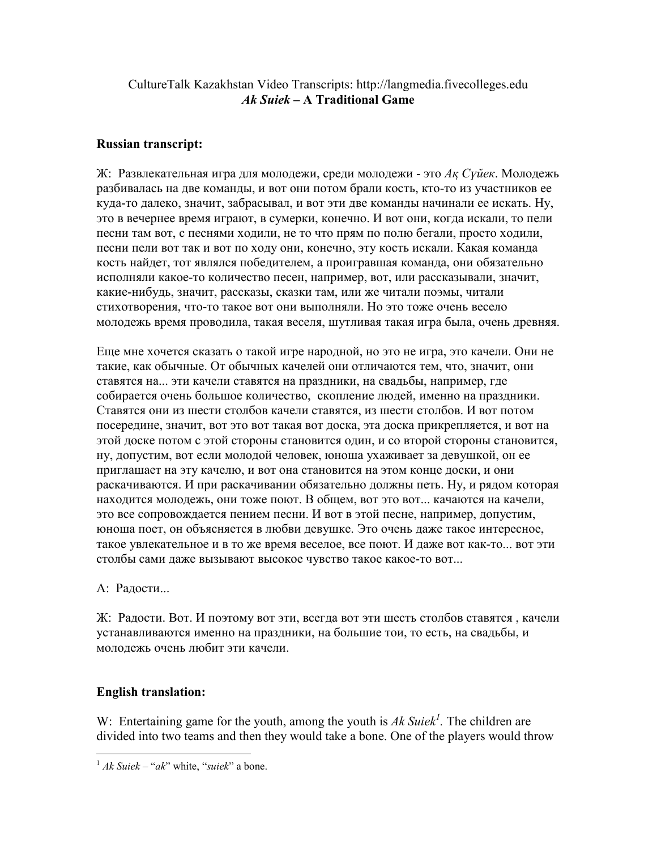## CultureTalk Kazakhstan Video Transcripts: http://langmedia.fivecolleges.edu Ak Suiek – A Traditional Game

## Russian transcript:

Ж: Развлекательная игра для молодежи, среди молодежи - это  $A$ қ Сүйек. Молодежь разбивалась на две команды, и вот они потом брали кость, кто-то из участников ее куда-то далеко, значит, забрасывал, и вот эти две команды начинали ее искать. Ну, это в вечернее время играют, в сумерки, конечно. И вот они, когда искали, то пели песни там вот, с песнями ходили, не то что прям по полю бегали, простo ходили, песни пели вот так и вот по ходу они, конечно, эту кость искали. Какая команда кость найдет, тот являлся победителем, а проигравшая команда, они обязательно исполняли какое-то количество песен, например, вот, или рассказывали, значит, какие-нибудь, значит, рассказы, сказки там, или же читали поэмы, читали стихотворения, что-то такое вот они выполняли. Но это тоже очень весело молодежь время проводила, такая веселя, шутливая такая игра была, очень древняя.

Еще мне хочется сказать о такой игре народной, но это не игра, это качели. Они не такие, как обычные. От обычных качелей они отличаются тем, что, значит, они ставятся на... эти качели ставятся на праздники, на свадьбы, например, где собирается очень большое количество, скопление людей, именно на праздники. Ставятся они из шести столбов качели ставятся, из шести столбов. И вот потом посередине, значит, вот это вот такая вот доска, эта доска прикрепляется, и вот на этой доске потом с этой стороны становится один, и со второй стороны становится, ну, допустим, вот если молодой человек, юноша ухаживает за девушкой, он ее приглашает на эту качелю, и вот она становится на этом конце доски, и они раскачиваются. И при раскачивании обязательно должны петь. Ну, и рядом которая находится молодежь, они тоже поют. В общем, вот это вот... качаются на качели, это все сопровождается пением песни. И вот в этой песне, например, допустим, юноша поет, он объясняется в любви девушке. Это очень даже такое интересное, такое увлекательное и в то же время веселое, все поют. И даже вот как-то... вот эти столбы сами даже вызывают высокое чувство такое какое-то вот...

А: Радости...

Ж: Радости. Вот. И поэтому вот эти, всегда вот эти шесть столбов ставятся , качели устанавливаются именно на праздники, на большие тои, то есть, на свадьбы, и молодежь очень любит эти качели.

## English translation:

 $\overline{a}$ 

W: Entertaining game for the youth, among the youth is Ak Suiek<sup>1</sup>. The children are divided into two teams and then they would take a bone. One of the players would throw

 $1$  Ak Suiek – "ak" white, "suiek" a bone.